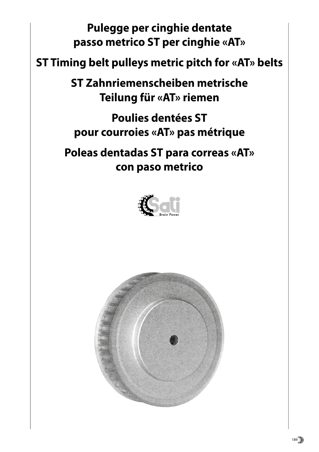**Pulegge per cinghie dentate passo metrico ST per cinghie «AT»**

# **ST Timing belt pulleys metric pitch for «AT» belts**

**ST Zahnriemenscheiben metrische Teilung für «AT» riemen**

**Poulies dentées ST pour courroies «AT» pas métrique**

**Poleas dentadas ST para correas «AT» con paso metrico**



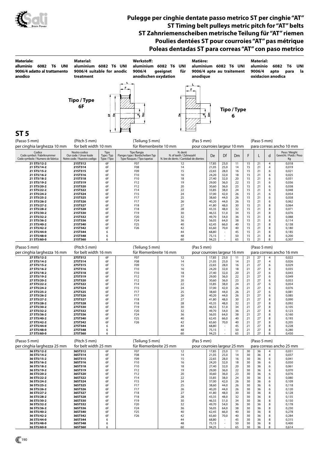

### **Pulegge per cinghie dentate passo metrico ST per cinghie "AT" ST Timing belt pulleys metric pitch for "AT" belts ST Zahnriemenscheiben metrische Teilung für "AT" riemen Poulies dentées ST pour courroies "AT" pas métrique Poleas dentadas ST para correas "AT" con paso metrico**

| <b>Materiale:</b><br>alluminio<br>6082 T6<br>9006/4 adatto al trattamento<br>anodico | Material:<br>UNI<br>aluminium 6082 T6 UNI<br>9006/4 suitable for anodic<br>treatment |                                   | Werkstoff:<br>aluminium 6082 T6<br>9006/4<br>anodischen oxydation               | UNI<br>geeignet<br>für                                                       | Matière:<br>aluminium 6082 T6 UNI<br>9006/4 apte au traitement<br>anodique |                         |              |                  |          | Material:<br>aluminio<br>9006/4 | apto   | 6082<br>T6<br>UNI<br>la<br>para<br>oxidacion anodica |
|--------------------------------------------------------------------------------------|--------------------------------------------------------------------------------------|-----------------------------------|---------------------------------------------------------------------------------|------------------------------------------------------------------------------|----------------------------------------------------------------------------|-------------------------|--------------|------------------|----------|---------------------------------|--------|------------------------------------------------------|
| ST <sub>5</sub>                                                                      | Tipo / Type<br>6F                                                                    | డి<br>ъ                           | å<br>च,                                                                         | 8                                                                            | ন্                                                                         | ā                       |              | Tipo / Type<br>6 |          |                                 |        |                                                      |
| (Passo 5 mm)                                                                         | (Pitch 5 mm)                                                                         |                                   | (Teilung 5 mm)                                                                  |                                                                              | (Pas 5 mm)                                                                 |                         |              |                  |          | (Paso 5 mm)                     |        |                                                      |
| per cinghia larghezza 10 mm                                                          | for belt width 10 mm                                                                 |                                   | für Riemenbreite 10 mm                                                          |                                                                              | pour courroies largeur 10 mm                                               |                         |              |                  |          |                                 |        | para correas ancho 10 mm                             |
| Codice<br>Code symbol / Fabriknummer<br>Code symbole / Numero de fabrica             | Nostro codice<br>Our code / Unser kode<br>Notre code / Nuestro codigo                | Tipo<br>Type / Typ<br>Type / Tipo | Tipo flangia<br>Flanges type / Bordscheiben Typ<br>Type flasques / Tipo tapetas | N. denti<br>N. of teeth / Zahnezahl<br>N. bre de dents / Cantidad de dientes |                                                                            | De                      | Df           | D <sub>m</sub>   | F        | L                               | d      | Peso / Weight<br>Gewicht / Poids / Peso<br>Кg        |
| 21 ST5/12-2                                                                          | 21ST512                                                                              | 6F                                | F <sub>07</sub>                                                                 | 12                                                                           |                                                                            | 17,85                   | 23,0         | 11               | 15       | 21                              | 4      | 0,018                                                |
| 21 ST5/14-2<br>21 ST5/15-2                                                           | 21ST514<br>21ST515                                                                   | 6F<br>6F                          | F <sub>08</sub><br>F09                                                          | 14<br>15                                                                     |                                                                            | 21,05<br>22,65          | 25,0<br>28,0 | 14<br>16         | 15<br>15 | 21<br>21                        | 4<br>6 | 0,019<br>0,021                                       |
| 21 ST5/16-2                                                                          | 21ST516                                                                              | 6F                                | F10                                                                             | 16                                                                           |                                                                            | 24,20                   | 32,0         | 18               | 15       | 21                              | 6      | 0,025                                                |
| 21 ST5/18-2<br>21 ST5/19-2                                                           | <b>21ST518</b><br><b>21ST519</b>                                                     | 6F<br>6F                          | F10<br>F12                                                                      | 18<br>19                                                                     |                                                                            | 27,40<br>29,00          | 32,0<br>36,0 | 20<br>22         | 15<br>15 | 21<br>21                        | 6<br>6 | 0,031<br>0,036                                       |
| 21 ST5/20-2                                                                          | 21ST520                                                                              | 6F                                | F12                                                                             | 20                                                                           |                                                                            | 30,60                   | 36,0         | 23               | 15       | 21                              | 6      | 0,038                                                |
| 21 ST5/22-2                                                                          | 21ST522                                                                              | 6F<br>6F                          | F14<br>F15                                                                      | 22<br>24                                                                     |                                                                            | 33,85                   | 38,0         | 24<br>26         | 15<br>15 | 21<br>21                        | 6      | 0,048                                                |
| 21 ST5/24-2<br>21 ST5/25-2                                                           | 21ST524<br>21ST525                                                                   | 6F                                | F17                                                                             | 25                                                                           |                                                                            | 37,00<br>38,60          | 42,0<br>44,0 | 26               | 15       | 21                              | 6<br>6 | 0,054<br>0,058                                       |
| 21 ST5/26-2                                                                          | 21ST526                                                                              | 6F                                | F17                                                                             | 26                                                                           |                                                                            | 40,20                   | 44,0         | 26               | 15       | 21                              | 6      | 0,062                                                |
| 21 ST5/27-2<br>21 ST5/28-2                                                           | <b>21ST527</b><br>21ST528                                                            | 6F<br>6F                          | F18<br>F18                                                                      | 27<br>28                                                                     |                                                                            | 41,80<br>43,35          | 48,0<br>48,0 | 30<br>32         | 15<br>15 | 21<br>21                        | 8<br>8 | 0,064<br>0,071                                       |
| 21 ST5/30-2                                                                          | 21ST530                                                                              | 6F                                | F19                                                                             | 30                                                                           |                                                                            | 46,55                   | 51,0         | 34               | 15       | 21                              | 8      | 0,076                                                |
| 21 ST5/32-2<br>21 ST5/36-2                                                           | 21ST532<br>21ST536                                                                   | 6F<br>6F                          | F <sub>20</sub><br>F <sub>24</sub>                                              | 32<br>36                                                                     |                                                                            | 49,70<br>56,05          | 54,0<br>64,0 | 36<br>38         | 15<br>15 | 21<br>21                        | 8<br>8 | 0,088<br>0,114                                       |
| 21 ST5/40-2                                                                          | 21ST540                                                                              | 6F                                | F <sub>25</sub>                                                                 | 40                                                                           |                                                                            | 62,45                   | 66,0         | 40               | 15       | 21                              | 8      | 0,138                                                |
| 21 ST5/42-2<br>21 ST5/44-0                                                           | 21ST542<br>21ST544                                                                   | 6F<br>6                           | F <sub>26</sub>                                                                 | 42<br>44                                                                     |                                                                            | 65,60<br>68,80          | 70,0         | 40<br>45         | 15<br>15 | 21<br>21                        | 8<br>8 | 0,180<br>0,185                                       |
| 21 ST5/48-0                                                                          | 21ST548                                                                              | 6                                 |                                                                                 | 48                                                                           |                                                                            | 75,15                   |              | 50               | 15       | 21                              | 8      | 0,200                                                |
| 21 ST5/60-0                                                                          | 21ST560                                                                              | 6                                 |                                                                                 | 60                                                                           |                                                                            | 94,25                   |              | 65               | 15       | 21                              | 8      | 0,307                                                |
| (Pitch 5 mm)<br>(Teilung 5 mm)<br>(Pas 5 mm)<br>(Paso 5 mm)<br>(Passo 5 mm)          |                                                                                      |                                   |                                                                                 |                                                                              |                                                                            |                         |              |                  |          |                                 |        |                                                      |
|                                                                                      |                                                                                      |                                   |                                                                                 |                                                                              |                                                                            |                         |              |                  |          |                                 |        |                                                      |
| per cinghia larghezza 16 mm                                                          | for belt width 16 mm                                                                 |                                   | für Riemenbreite 16 mm                                                          |                                                                              | pour courroies largeur 16 mm                                               |                         |              |                  |          |                                 |        | para correas ancho 16 mm                             |
| 27 ST5/12-2                                                                          | 27ST512                                                                              | 6F                                | F07                                                                             | 12                                                                           |                                                                            | 17,85                   | 23,0         | 11               | 21       | 27                              | 4      | 0,022                                                |
| 27 ST5/14-2<br>27 ST5/15-2                                                           | 27ST514<br>27ST515                                                                   | 6F<br>6F                          | F <sub>08</sub><br>F09                                                          | 14<br>15                                                                     |                                                                            | 21,05<br>22,65          | 25,0<br>28,0 | 14<br>16         | 21<br>21 | 27<br>27                        | 4<br>6 | 0,026<br>0,029                                       |
| 27 ST5/16-2                                                                          | 27ST516<br>27ST518                                                                   | 6F<br>6F                          | F10<br>F10                                                                      | 16<br>18                                                                     |                                                                            | 24,20                   | 32,0         | 18<br>20         | 21<br>21 | 27<br>27                        | 6<br>6 | 0,035                                                |
| 27 ST5/18-2<br>27 ST5/19-2                                                           | 27ST519                                                                              | 6F                                | F12                                                                             | 19                                                                           |                                                                            | 27,40<br>29,00          | 32,0<br>36,0 | 22               | 21       | 27                              | 6      | 0,043<br>0,049                                       |
| 27 ST5/20-2                                                                          | 27ST520                                                                              | 6F                                | F12                                                                             | 20                                                                           |                                                                            | 30,60                   | 36,0         | 23               | 21       | 27                              | 6<br>6 | 0,053                                                |
| 27 ST5/22-2<br>27 ST5/24-2                                                           | 27ST522<br>27ST524                                                                   | 6F<br>6F                          | F14<br>F15                                                                      | 22<br>24                                                                     |                                                                            | 33,85<br>37,00          | 38,0<br>42,0 | 24<br>26         | 21<br>21 | 27<br>27                        | 6      | 0,054<br>0,076                                       |
| 27 ST5/25-2                                                                          | 27ST525                                                                              | 6F                                | F17                                                                             | 25                                                                           |                                                                            | 38,60                   | 44,0         | 26               | 21       | 27                              | 6      | 0,081                                                |
| 27 ST5/26-2<br>27 ST5/27-2                                                           | 27ST526<br>27ST527                                                                   | 6F<br>6F                          | F17<br>F18                                                                      | 26<br>27                                                                     |                                                                            | 40,20<br>41,80          | 44,0<br>48,0 | 26<br>30         | 21<br>21 | 27<br>27                        | 6<br>8 | 0,085<br>0,090                                       |
| 27 ST5/28-2                                                                          | 27ST528                                                                              | 6F                                | F18                                                                             | 28                                                                           |                                                                            | 43,35                   | 48,0         | 32               | 21       | 27                              | 8      | 0,092                                                |
| 27 ST5/30-2<br>27 ST5/32-2                                                           | 27ST530<br>27ST532                                                                   | 6F<br>6F                          | F19<br>F <sub>20</sub>                                                          | 30<br>32                                                                     |                                                                            | 46,55<br>49,70          | 51,0<br>54,0 | 34<br>36         | 21<br>21 | 27<br>27                        | 8<br>8 | 0,105<br>0,123                                       |
| 27 ST5/36-2                                                                          | 27ST536                                                                              | 6F                                | F24                                                                             | 36                                                                           |                                                                            | 56,05                   | 64,0         | 38               | 21       | 27                              | 8      | 0,160                                                |
| 27 ST5/40-2<br>27 ST5/42-2                                                           | 27ST540<br>27ST542                                                                   | 6F<br>6F                          | F <sub>25</sub><br>F <sub>26</sub>                                              | 40<br>42                                                                     |                                                                            | 62,45<br>65,60          | 66,0<br>70,0 | 40<br>40         | 21<br>21 | 27<br>27                        | 8<br>8 | 0,193<br>0,205                                       |
| 27 ST5/44-0                                                                          | 27ST544                                                                              | 6                                 |                                                                                 | 44                                                                           |                                                                            | 68,80                   | $\sim$       | 45               | 21       | 27                              | 8      | 0,228                                                |
| 27 ST5/48-0<br>27 ST5/60-0                                                           | 27ST548<br>27ST560                                                                   | 6<br>6                            |                                                                                 | 48<br>60                                                                     |                                                                            | 75,15<br>94,25          |              | 50<br>65         | 21<br>21 | 27<br>27                        | 8<br>8 | 0,280<br>0,430                                       |
| (Passo 5 mm)                                                                         | (Pitch 5 mm)                                                                         |                                   | (Teilung 5 mm)                                                                  |                                                                              | (Pas 5 mm)                                                                 |                         |              |                  |          | (Paso 5 mm)                     |        |                                                      |
| per cinghia larghezza 25 mm<br>36 ST5/12-2                                           | for belt width 25 mm<br>36ST512                                                      | 6F                                | für Riemenbreite 25 mm<br>F07                                                   | 12                                                                           | pour courroies largeur 25 mm                                               | 17,85                   | 23,0         | 11               | 30       | 36                              | 4      | para correas ancho 25 mm<br>0,031                    |
| 36 ST5/14-2                                                                          | 36ST514                                                                              | 6F                                | F08                                                                             | 14                                                                           |                                                                            | 21,05                   | 25,0         | 14               | 30       | 36                              | 4      | 0,037                                                |
| 36 ST5/15-2                                                                          | 36ST515<br>36ST516                                                                   | 6F<br>6F                          | F09<br>F10                                                                      | 15<br>16                                                                     |                                                                            | 22,65                   | 28,0         | 16<br>18         | 30<br>30 | 36<br>36                        | 6<br>6 | 0,041                                                |
| 36 ST5/16-2<br>36 ST5/18-2                                                           | 36ST518                                                                              | 6F                                | F10                                                                             | 18                                                                           |                                                                            | 24,20<br>27,40          | 32,0<br>32,0 | 20               | 30       | 36                              | 6      | 0,050<br>0,061                                       |
| 36 ST5/19-2<br>36 ST5/20-2                                                           | 36ST519<br>36ST520                                                                   | 6F<br>6F                          | F12<br>F12                                                                      | 19<br>20                                                                     |                                                                            | 29,00<br>30,60          | 36,0<br>36,0 | 22<br>23         | 30<br>30 | 36<br>36                        | 6<br>6 | 0,070<br>0,076                                       |
| 36 ST5/22-2                                                                          | 36ST522                                                                              | 6F                                | F14                                                                             | 22                                                                           |                                                                            | 33,85                   | 38,0         | 24               | 30       | 36                              | 6      | 0,080                                                |
| 36 ST5/24-2                                                                          | 36ST524                                                                              | 6F                                | F15                                                                             | 24                                                                           |                                                                            | 37,00                   | 42,0         | 26               | 30       | 36                              | 6      | 0,109                                                |
| 36 ST5/25-2<br>36 ST5/26-2                                                           | 36ST525<br>36ST526                                                                   | 6F<br>6F                          | F17<br>F17                                                                      | 25<br>26                                                                     |                                                                            | 38,60<br>40,20          | 44,0<br>44,0 | 26<br>26         | 30<br>30 | 36<br>36                        | 6<br>6 | 0,118<br>0,120                                       |
| 36 ST5/27-2                                                                          | 36ST527                                                                              | 6F                                | F18                                                                             | 27                                                                           |                                                                            | 41,80                   | 48,0         | 30               | 30       | 36                              | 8      | 0,128                                                |
| 36 ST5/28-2<br>36 ST5/30-2                                                           | 36ST528<br>36ST530                                                                   | 6F<br>6F                          | F18<br>F19                                                                      | 28<br>30                                                                     |                                                                            | 43,35<br>46,55          | 48,0<br>51,0 | 32<br>34         | 30<br>30 | 36<br>36                        | 8<br>8 | 0,135<br>0,150                                       |
| 36 ST5/32-2                                                                          | 36ST532                                                                              | 6F                                | F <sub>20</sub>                                                                 | 32                                                                           |                                                                            | 49,70                   | 54,0         | 36               | 30       | 36                              | 8      | 0,178                                                |
| 36 ST5/36-2<br>36 ST5/40-2                                                           | 36ST536<br>36ST540                                                                   | 6F<br>6F                          | F24<br>F <sub>25</sub>                                                          | 36<br>40                                                                     |                                                                            | 56,05<br>62,45          | 64,0<br>66,0 | 38<br>40         | 30<br>30 | 36<br>36                        | 8<br>8 | 0,230<br>0,278                                       |
| 36 ST5/42-2                                                                          | 36ST542                                                                              | 6F                                | F <sub>26</sub>                                                                 | 42                                                                           |                                                                            | 65,60                   | 70,0         | 40               | 30       | 36                              | 8      | 0,284                                                |
| 36 ST5/44-0<br>36 ST5/48-0                                                           | 36ST544<br>36ST548                                                                   | 6<br>6                            |                                                                                 | 44<br>48                                                                     |                                                                            | 68,80<br>75,15<br>94,25 | $\sim$       | 45<br>50         | 30<br>30 | 36<br>36                        | 8<br>8 | 0,315<br>0,400                                       |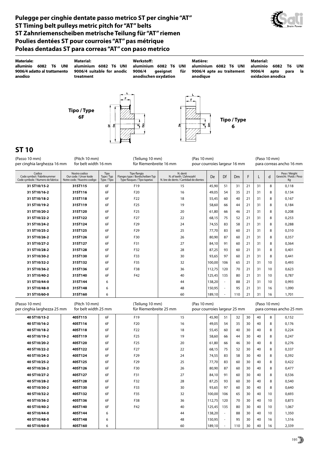#### **Pulegge per cinghie dentate passo metrico ST per cinghie "AT" ST Timing belt pulleys metric pitch for "AT" belts ST Zahnriemenscheiben metrische Teilung für "AT" riemen Poulies dentées ST pour courroies "AT" pas métrique Poleas dentadas ST para correas "AT" con paso metrico**

Å  $\overline{a}$ 



**Tipo / Type Materiale: alluminio 6082 T6 UNI 9006/4 adatto al trattamento anodico Material: aluminium 6082 T6 UNI 9006/4 suitable for anodic treatment Werkstoff: aluminium 6082 T6 UNI 9006/4 geeignet für anodischen oxydation Matière: aluminium 6082 T6 UNI 9006/4 apte au traitement anodique Material: aluminio 6082 T6 UNI 9006/4 apto para la oxidacion anodica**

**e**<br>**b**<br>**f**<br>**f**<br>**f**<br>**f**<br>**f**<br>**f** 

**6**

### **ST 10**

| (Pitch 10 mm)<br>(Passo 10 mm)<br>per cinghia larghezza 16 mm<br>for belt width 16 mm |                                                                          |                                                                                                            | (Teilung 10 mm)<br>für Riemenbreite 16 mm | (Pas 10 mm)<br>pour courroies largeur 16 mm                                     |                                                                              |           |    | (Paso 10 mm)<br>para correas ancho 16 mm |    |    |   |                                               |
|---------------------------------------------------------------------------------------|--------------------------------------------------------------------------|------------------------------------------------------------------------------------------------------------|-------------------------------------------|---------------------------------------------------------------------------------|------------------------------------------------------------------------------|-----------|----|------------------------------------------|----|----|---|-----------------------------------------------|
|                                                                                       | Codice<br>Code symbol / Fabriknummer<br>Code symbole / Numero de fabrica | Tipo<br>Nostro codice<br>Type / Typ<br>Our code / Unser kode<br>Notre code / Nuestro codigo<br>Type / Tipo |                                           | Tipo flangia<br>Flanges type / Bordscheiben Typ<br>Type flasques / Tipo tapetas | N. denti<br>N. of teeth / Zahnezahl<br>N. bre de dents / Cantidad de dientes | <b>De</b> | Df | D <sub>m</sub>                           |    |    | d | Peso / Weight<br>Gewicht / Poids / Peso<br>Kg |
|                                                                                       | 31 ST10/15-2                                                             | 31ST115                                                                                                    | 6F                                        | F <sub>19</sub>                                                                 | 15                                                                           | 45,90     | 51 | 31                                       | 21 | 31 | 8 | 0.118                                         |
|                                                                                       | 31 ST10/16-2                                                             | 31ST116                                                                                                    | 6F                                        | F <sub>20</sub>                                                                 | 16                                                                           | 49,05     | 54 | 35                                       | 21 | 31 | 8 | 0,134                                         |
|                                                                                       | 31 ST10/18-2                                                             | 31ST118                                                                                                    | 6F                                        | F <sub>22</sub>                                                                 | 18                                                                           | 55,45     | 60 | 40                                       | 21 | 31 | 8 | 0,167                                         |
|                                                                                       | 31 ST10/19-2                                                             | 31ST119                                                                                                    | 6F                                        | F <sub>25</sub>                                                                 | 19                                                                           | 58,60     | 66 | 44                                       | 21 | 31 | 8 | 0,184                                         |
|                                                                                       | 31 ST10/20-2                                                             | 31ST120                                                                                                    | 6F                                        | F <sub>25</sub>                                                                 | 20                                                                           | 61,80     | 66 | 46                                       | 21 | 31 | 8 | 0,208                                         |
|                                                                                       | 31 ST10/22-2                                                             | 31ST122                                                                                                    | 6F                                        | F <sub>27</sub>                                                                 | 22                                                                           | 68,15     | 75 | 52                                       | 21 | 31 | 8 | 0,253                                         |
|                                                                                       | 31 ST10/24-2                                                             | 31ST124                                                                                                    | 6F                                        | F <sub>29</sub>                                                                 | 24                                                                           | 74,55     | 83 | 58                                       | 21 | 31 | 8 | 0,288                                         |
|                                                                                       | 31 ST10/25-2                                                             | 31ST125                                                                                                    | 6F                                        | F <sub>29</sub>                                                                 | 25                                                                           | 77,70     | 83 | 60                                       | 21 | 31 | 8 | 0,310                                         |
|                                                                                       | 31 ST10/26-2                                                             | 31ST126                                                                                                    | 6F                                        | F30                                                                             | 26                                                                           | 80,90     | 87 | 60                                       | 21 | 31 | 8 | 0,357                                         |
|                                                                                       | 31 ST10/27-2                                                             | 31ST127                                                                                                    | 6F                                        | F31                                                                             | 27                                                                           | 84.10     | 91 | 60                                       | 21 | 31 | 8 | 0,364                                         |

| 31 ST10/26-2 | 31ST126 | 6F | F30 | 26 | 80,90  | 87     | 60  | 21 | 31 | 8  | 0,357 |
|--------------|---------|----|-----|----|--------|--------|-----|----|----|----|-------|
| 31 ST10/27-2 | 31ST127 | 6F | F31 | 27 | 84.10  | 91     | 60  | 21 | 31 | 8  | 0,364 |
| 31 ST10/28-2 | 31ST128 | 6F | F32 | 28 | 87.25  | 93     | 60  | 21 | 31 | 8  | 0.401 |
| 31 ST10/30-2 | 31ST130 | 6F | F33 | 30 | 93,65  | 97     | 60  | 21 | 31 | 8  | 0.441 |
| 31 ST10/32-2 | 31ST132 | 6F | F35 | 32 | 100,00 | 106    | 65  | 21 | 31 | 10 | 0,493 |
| 31 ST10/36-2 | 31ST136 | 6F | F38 | 36 | 112.75 | 20     | 70  | 21 | 31 | 10 | 0.623 |
| 31 ST10/40-2 | 31ST140 | 6F | F42 | 40 | 125,45 | 135    | 80  | 21 | 31 | 10 | 0.787 |
| 31 ST10/44-0 | 31ST144 | 6  |     | 44 | 138,20 | $\sim$ | 88  | 21 | 31 | 10 | 0.993 |
| 31 ST10/48-0 | 31ST148 | 6  |     | 48 | 150,95 | $\sim$ | 95  | 21 | 31 | 16 | 1,090 |
| 31 ST10/60-0 | 31ST160 | 6  |     | 60 | 189,10 | $\sim$ | 110 | 21 | 31 | 16 | 1.701 |

| (Passo 10 mm)<br>per cinghia larghezza 25 mm | (Pitch 10 mm)<br>for belt width 25 mm |    |                 | (Teilung 10 mm)<br>(Pas 10 mm)<br>für Riemenbreite 25 mm |        |                          | pour courroies largeur 25 mm |    |    |    | (Paso 10 mm)<br>para correas ancho 25 mm |  |  |
|----------------------------------------------|---------------------------------------|----|-----------------|----------------------------------------------------------|--------|--------------------------|------------------------------|----|----|----|------------------------------------------|--|--|
| 40 ST10/15-2                                 | 40ST115                               | 6F | F <sub>19</sub> | 15                                                       | 45,90  | 51                       | 32                           | 30 | 40 | 8  | 0,152                                    |  |  |
| 40 ST10/16-2                                 | 40ST116                               | 6F | F20             | 16                                                       | 49,05  | 54                       | 35                           | 30 | 40 | 8  | 0.176                                    |  |  |
| 40 ST10/18-2                                 | 40ST118                               | 6F | F <sub>22</sub> | 18                                                       | 55,45  | 60                       | 40                           | 30 | 40 | 8  | 0,224                                    |  |  |
| 40 ST10/19-2                                 | 40ST119                               | 6F | F <sub>25</sub> | 19                                                       | 58.60  | 66                       | 44                           | 30 | 40 | 8  | 0.247                                    |  |  |
| 40 ST10/20-2                                 | 40ST120                               | 6F | F <sub>25</sub> | 20                                                       | 61,80  | 66                       | 46                           | 30 | 40 | 8  | 0,276                                    |  |  |
| 40 ST10/22-2                                 | 40ST122                               | 6F | F <sub>27</sub> | 22                                                       | 68,15  | 75                       | 52                           | 30 | 40 | 8  | 0,337                                    |  |  |
| 40 ST10/24-2                                 | 40ST124                               | 6F | F <sub>29</sub> | 24                                                       | 74,55  | 83                       | 58                           | 30 | 40 | 8  | 0,392                                    |  |  |
| 40 ST10/25-2                                 | 40ST125                               | 6F | F <sub>29</sub> | 25                                                       | 77.70  | 83                       | 60                           | 30 | 40 | 8  | 0.422                                    |  |  |
| 40 ST10/26-2                                 | 40ST126                               | 6F | F30             | 26                                                       | 80,90  | 87                       | 60                           | 30 | 40 | 8  | 0,477                                    |  |  |
| 40 ST10/27-2                                 | 40ST127                               | 6F | F31             | 27                                                       | 84,10  | 91                       | 60                           | 30 | 40 | 8  | 0,536                                    |  |  |
| 40 ST10/28-2                                 | 40ST128                               | 6F | F32             | 28                                                       | 87,25  | 93                       | 60                           | 30 | 40 | 8  | 0.540                                    |  |  |
| 40 ST10/30-2                                 | 40ST130                               | 6F | F33             | 30                                                       | 93.65  | 97                       | 60                           | 30 | 40 | 8  | 0.640                                    |  |  |
| 40 ST10/32-2                                 | 40ST132                               | 6F | F35             | 32                                                       | 100,00 | 106                      | 65                           | 30 | 40 | 10 | 0,693                                    |  |  |
| 40 ST10/36-2                                 | 40ST136                               | 6F | F38             | 36                                                       | 112,75 | 120                      | 70                           | 30 | 40 | 10 | 0,873                                    |  |  |
| 40 ST10/40-2                                 | 40ST140                               | 6F | F42             | 40                                                       | 125.45 | 135                      | 80                           | 30 | 40 | 10 | 1.067                                    |  |  |
| 40 ST10/44-0                                 | 40ST144                               | 6  |                 | 44                                                       | 138,20 | $\overline{\phantom{a}}$ | 88                           | 30 | 40 | 10 | 1,350                                    |  |  |
| 40 ST10/48-0                                 | 40ST148                               | 6  |                 | 48                                                       | 150,95 | $\sim$                   | 95                           | 30 | 40 | 16 | 1,516                                    |  |  |
| 40 ST10/60-0                                 | 40ST160                               | 6  |                 | 60                                                       | 189,10 | $\sim$                   | 110                          | 30 | 40 | 16 | 2,339                                    |  |  |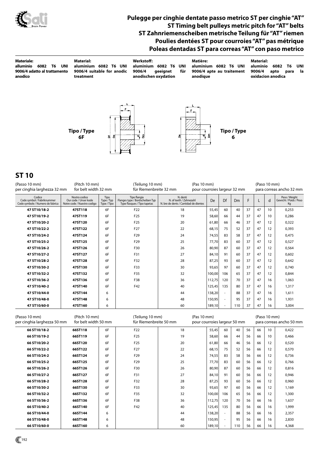

#### **Pulegge per cinghie dentate passo metrico ST per cinghie "AT" ST Timing belt pulleys metric pitch for "AT" belts ST Zahnriemenscheiben metrische Teilung für "AT" riemen Poulies dentées ST pour courroies "AT" pas métrique Poleas dentadas ST para correas "AT" con paso metrico**

| <b>Materiale:</b><br>alluminio<br>T6<br>UNI<br>6082<br>9006/4 adatto al trattamento<br>anodico | Material:<br>aluminium 6082 T6 UNI<br>9006/4 suitable for anodic<br>treatment | Werkstoff:<br>aluminium 6082 T6 UNI<br>9006/4<br>geeignet<br>für<br>anodischen oxydation | Matière:<br>aluminium 6082 T6 UNI<br>9006/4 apte au traitement<br>anodique | <b>Material:</b><br>aluminio<br>UNI<br>T6<br>6082<br>9006/4<br>la<br>apto<br>para<br>oxidacion anodica |
|------------------------------------------------------------------------------------------------|-------------------------------------------------------------------------------|------------------------------------------------------------------------------------------|----------------------------------------------------------------------------|--------------------------------------------------------------------------------------------------------|
|                                                                                                | $F$ .<br>Tipo / Type<br>ප්<br>비<br>6F                                         | 툉<br>ᅨ<br>ਹੁ                                                                             | $\mathbf{F}$<br>Tipo / Type<br>ā<br>힉<br>6                                 |                                                                                                        |

### **ST 10**

| (Pitch 10 mm)<br>(Passo 10 mm)<br>per cinghia larghezza 32 mm<br>for belt width 32 mm |                                                                       |                                   | (Teilung 10 mm)<br>für Riemenbreite 32 mm                                                | (Pas 10 mm)<br>pour courroies largeur 32 mm                                  |        |                          |                                          |    |    | (Paso 10 mm)<br>para correas ancho 32 mm<br>Peso / Weight<br>d<br>Kg<br>0,253<br>10<br>0,286<br>10<br>0,322<br>12<br>0,393<br>12<br>0,475<br>12<br>0,527<br>12 |                        |  |
|---------------------------------------------------------------------------------------|-----------------------------------------------------------------------|-----------------------------------|------------------------------------------------------------------------------------------|------------------------------------------------------------------------------|--------|--------------------------|------------------------------------------|----|----|----------------------------------------------------------------------------------------------------------------------------------------------------------------|------------------------|--|
| Codice<br>Code symbol / Fabriknummer<br>Code symbole / Numero de fabrica              | Nostro codice<br>Our code / Unser kode<br>Notre code / Nuestro codigo | Tipo<br>Type / Typ<br>Type / Tipo | Tipo flangia<br>Flanges type / Bordscheiben Typ<br>Type flasques / Tipo tapetas          | N. denti<br>N. of teeth / Zahnezahl<br>N. bre de dents / Cantidad de dientes | De     | Df                       | Dm                                       | F  | L  |                                                                                                                                                                | Gewicht / Poids / Peso |  |
| 47 ST10/18-2                                                                          | 47ST118                                                               | 6F                                | F22                                                                                      | 18                                                                           | 55,45  | 60                       | 40                                       | 37 | 47 |                                                                                                                                                                |                        |  |
| 47 ST10/19-2                                                                          | 47ST119                                                               | 6F                                | F <sub>25</sub>                                                                          | 19                                                                           | 58,60  | 66                       | 44                                       | 37 | 47 |                                                                                                                                                                |                        |  |
| 47 ST10/20-2                                                                          | 47ST120                                                               | 6F                                | F <sub>25</sub>                                                                          | 20                                                                           | 61,80  | 66                       | 46                                       | 37 | 47 |                                                                                                                                                                |                        |  |
| 47 ST10/22-2                                                                          | 47ST122                                                               | 6F                                | F27                                                                                      | 22                                                                           | 68,15  | 75                       | 52                                       | 37 | 47 |                                                                                                                                                                |                        |  |
| 47 ST10/24-2                                                                          | 47ST124                                                               | 6F                                | F <sub>29</sub>                                                                          | 24                                                                           | 74,55  | 83                       | 58                                       | 37 | 47 |                                                                                                                                                                |                        |  |
| 47 ST10/25-2                                                                          | 47ST125                                                               | 6F                                | F <sub>29</sub>                                                                          | 25                                                                           | 77,70  | 83                       | 60                                       | 37 | 47 |                                                                                                                                                                |                        |  |
| 47 ST10/26-2                                                                          | 47ST126                                                               | 6F                                | F30                                                                                      | 26                                                                           | 80,90  | 87                       | 60                                       | 37 | 47 | 12                                                                                                                                                             | 0,564                  |  |
| 47 ST10/27-2                                                                          | 47ST127                                                               | 6F                                | F31                                                                                      | 27                                                                           | 84,10  | 91                       | 60                                       | 37 | 47 | 12                                                                                                                                                             | 0,602                  |  |
| 47 ST10/28-2                                                                          | 47ST128                                                               | 6F                                | F32                                                                                      | 28                                                                           | 87,25  | 93                       | 60                                       | 37 | 47 | 12                                                                                                                                                             | 0,642                  |  |
| 47 ST10/30-2                                                                          | 47ST130                                                               | 6F                                | F33                                                                                      | 30                                                                           | 93,65  | 97                       | 60                                       | 37 | 47 | 12                                                                                                                                                             | 0,740                  |  |
| 47 ST10/32-2                                                                          | 47ST132                                                               | 6F                                | F35                                                                                      | 32                                                                           | 100,00 | 106                      | 65                                       | 37 | 47 | 12                                                                                                                                                             | 0,844                  |  |
| 47 ST10/36-2                                                                          | 47ST136                                                               | 6F                                | F38                                                                                      | 36                                                                           | 112,75 | 120                      | 70                                       | 37 | 47 | 16                                                                                                                                                             | 1,063                  |  |
| 47 ST10/40-2                                                                          | 47ST140                                                               | 6F                                | F42                                                                                      | 40                                                                           | 125,45 | 135                      | 80                                       | 37 | 47 | 16                                                                                                                                                             | 1,317                  |  |
| 47 ST10/44-0                                                                          | 47ST144                                                               | 6                                 |                                                                                          | 44                                                                           | 138,20 | ÷,                       | 88                                       | 37 | 47 | 16                                                                                                                                                             | 1,611                  |  |
| 47 ST10/48-0                                                                          | 47ST148                                                               | 6                                 |                                                                                          | 48                                                                           | 150,95 | $\overline{\phantom{a}}$ | 95                                       | 37 | 47 | 16                                                                                                                                                             | 1,931                  |  |
| 47 ST10/60-0                                                                          | 47ST160                                                               | 6                                 |                                                                                          | 60                                                                           | 189,10 |                          | 110                                      | 37 | 47 | 16                                                                                                                                                             | 3,004                  |  |
| (Passo 10 mm)<br>per cinghia larghezza 50 mm                                          | (Pitch 10 mm)<br>for belt width 50 mm                                 |                                   | (Teilung 10 mm)<br>(Pas 10 mm)<br>für Riemenbreite 50 mm<br>pour courroies largeur 50 mm |                                                                              |        |                          | (Paso 10 mm)<br>para correas ancho 50 mm |    |    |                                                                                                                                                                |                        |  |
| 66 ST10/18-2                                                                          | 66ST118                                                               | 6F                                | F <sub>22</sub>                                                                          | 18                                                                           | 55,45  | 60                       | 40                                       | 56 | 66 | 10                                                                                                                                                             | 0,422                  |  |
| 66 ST10/19-2                                                                          | 66ST119                                                               | 6F                                | F <sub>25</sub>                                                                          | 19                                                                           | 58,60  | 66                       | 44                                       | 56 | 66 | 10                                                                                                                                                             | 0,466                  |  |
| 66 ST10/20-2                                                                          | 66ST120                                                               | 6F                                | F <sub>25</sub>                                                                          | 20                                                                           | 61,80  | 66                       | 46                                       | 56 | 66 | 12                                                                                                                                                             | 0,520                  |  |
| 66 ST10/22-2                                                                          | 66ST122                                                               | 6F                                | F27                                                                                      | 22                                                                           | 68,15  | 75                       | 52                                       | 56 | 66 | 12                                                                                                                                                             | 0,570                  |  |
| 66 ST10/24-2                                                                          | 66ST124                                                               | 6F                                | F29                                                                                      | 24                                                                           | 74,55  | 83                       | 58                                       | 56 | 66 | 12                                                                                                                                                             | 0,736                  |  |
| 66 ST10/25-2                                                                          | 66ST125                                                               | 6F                                | F <sub>29</sub>                                                                          | 25                                                                           | 77,70  | 83                       | 60                                       | 56 | 66 | 12                                                                                                                                                             | 0,766                  |  |
| 66 ST10/26-2                                                                          | 66ST126                                                               | 6F                                | F30                                                                                      | 26                                                                           | 80,90  | 87                       | 60                                       | 56 | 66 | 12                                                                                                                                                             | 0,816                  |  |
| 66 ST10/27-2                                                                          | 66ST127                                                               | 6F                                | F31                                                                                      | 27                                                                           | 84,10  | 91                       | 60                                       | 56 | 66 | 12                                                                                                                                                             | 0,946                  |  |
| 66 ST10/28-2                                                                          | 66ST128                                                               | 6F                                | F32                                                                                      | 28                                                                           | 87,25  | 93                       | 60                                       | 56 | 66 | 12                                                                                                                                                             | 0,960                  |  |
| 66 ST10/30-2                                                                          | 66ST130                                                               | 6F                                | F33                                                                                      | 30                                                                           | 93,65  | 97                       | 60                                       | 56 | 66 | 12                                                                                                                                                             | 1,169                  |  |
| 66 ST10/32-2                                                                          | 66ST132                                                               | 6F                                | F35                                                                                      | 32                                                                           | 100,00 | 106                      | 65                                       | 56 | 66 | 12                                                                                                                                                             | 1,300                  |  |
| 66 ST10/36-2                                                                          | 66ST136                                                               | 6F                                | F38                                                                                      | 36                                                                           | 112,75 | 120                      | 70                                       | 56 | 66 | 16                                                                                                                                                             | 1,637                  |  |
| 66 ST10/40-2                                                                          | 66ST140                                                               | 6F                                | F42                                                                                      | 40                                                                           | 125,45 | 135                      | 80                                       | 56 | 66 | 16                                                                                                                                                             | 1,999                  |  |
| 66 ST10/44-0                                                                          | 66ST144                                                               | 6                                 |                                                                                          | 44                                                                           | 138,20 | $\overline{\phantom{a}}$ | 88                                       | 56 | 66 | 16                                                                                                                                                             | 2,357                  |  |
| 66 ST10/48-0                                                                          | 66ST148                                                               | 6                                 |                                                                                          | 48                                                                           | 150,95 | $\overline{\phantom{a}}$ | 95                                       | 56 | 66 | 16                                                                                                                                                             | 2,830                  |  |
| 66 ST10/60-0                                                                          | 66ST160                                                               | 6                                 |                                                                                          | 60                                                                           | 189,10 | ÷,                       | 110                                      | 56 | 66 | 16                                                                                                                                                             | 4,368                  |  |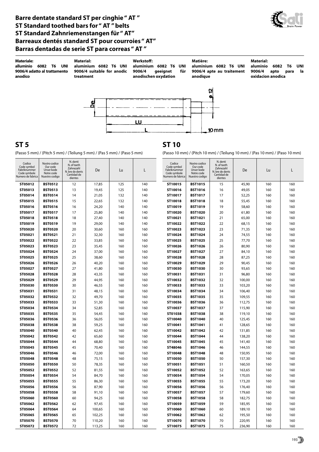#### **Barre dentate standard ST per cinghie " AT " ST Standard toothed bars for " AT " belts ST Standard Zahnriemenstangen für " AT" Barreaux dentés standard ST pour courroies " AT" Barras dentadas de serie ST para correas " AT "**





(Passo 5 mm) / (Pitch 5 mm) / (Teilung 5 mm) / (Pas 5 mm) / (Paso 5 mm) (Passo 10 mm) / (Pitch 10 mm) / (Teilung 10 mm) / (Pas 10 mm) / (Paso 10 mm)

## **ST 5 ST 10**

| Codice<br>Code symbol<br>Fabriknummer<br>Code symbole<br>Numero de fabrica | Nostro codice<br>Our code<br>Unser kode<br>Notre code<br>Nuestro codigo | N. denti<br>N. of teeth<br>Zahnezahl<br>N. bre de dents<br>Cantidad de<br>dientes | De             | Lu         | L          | Codice<br>Code symbol<br>Fabriknummer<br>Code symbole<br>Numero de fabrica | Nostro codice<br>Our code<br>Unser kode<br>Notre code<br>Nuestro codigo | N. denti<br>N. of teeth<br>Zahnezahl<br>N. bre de dents<br>Cantidad de<br>dientes | De             | Lu         | L          |
|----------------------------------------------------------------------------|-------------------------------------------------------------------------|-----------------------------------------------------------------------------------|----------------|------------|------------|----------------------------------------------------------------------------|-------------------------------------------------------------------------|-----------------------------------------------------------------------------------|----------------|------------|------------|
| ST05012                                                                    | <b>BST0512</b>                                                          | 12                                                                                | 17,85          | 125        | 140        | ST10015                                                                    | <b>BST1015</b>                                                          | 15                                                                                | 45,90          | 160        | 160        |
| ST05013                                                                    | <b>BST0513</b>                                                          | 13                                                                                | 19,45          | 125        | 140        | ST10016                                                                    | <b>BST1016</b>                                                          | 16                                                                                | 49,05          | 160        | 160        |
| ST05014                                                                    | <b>BST0514</b>                                                          | 14                                                                                | 21,05          | 132        | 140        | ST10017                                                                    | <b>BST1017</b>                                                          | 17                                                                                | 52,25          | 160        | 160        |
| ST05015                                                                    | <b>BST0515</b>                                                          | 15                                                                                | 22,65          | 132        | 140        | ST10018                                                                    | <b>BST1018</b>                                                          | 18                                                                                | 55,45          | 160        | 160        |
| ST05016                                                                    | <b>BST0516</b>                                                          | 16                                                                                | 24,20          | 140        | 140        | ST10019                                                                    | <b>BST1019</b>                                                          | 19                                                                                | 58,60          | 160        | 160        |
| ST05017                                                                    | <b>BST0517</b>                                                          | 17                                                                                | 25,80          | 140        | 140        | ST10020                                                                    | <b>BST1020</b>                                                          | 20                                                                                | 61,80          | 160        | 160        |
| ST05018                                                                    | <b>BST0518</b>                                                          | 18                                                                                | 27,40          | 140        | 140        | ST10021                                                                    | <b>BST1021</b>                                                          | 21                                                                                | 65,00          | 160        | 160        |
| ST05019                                                                    | <b>BST0519</b>                                                          | 19                                                                                | 29,00          | 140        | 140        | ST10022                                                                    | <b>BST1022</b>                                                          | 22                                                                                | 68,15          | 160        | 160        |
| ST05020                                                                    | <b>BST0520</b>                                                          | 20                                                                                | 30,60          | 160        | 160        | ST10023                                                                    | <b>BST1023</b>                                                          | 23                                                                                | 71,35          | 160        | 160        |
| ST05021                                                                    | <b>BST0521</b>                                                          | 21                                                                                | 32,30          | 160        | 160        | ST10024                                                                    | <b>BST1024</b>                                                          | 24                                                                                | 74,55          | 160        | 160        |
| ST05022                                                                    | <b>BST0522</b>                                                          | 22                                                                                | 33,85          | 160        | 160        | ST10025                                                                    | <b>BST1025</b>                                                          | 25                                                                                | 77,70          | 160        | 160        |
| ST05023                                                                    | <b>BST0523</b>                                                          | 23                                                                                | 35,45          | 160        | 160        | ST10026                                                                    | <b>BST1026</b>                                                          | 26                                                                                | 80,90          | 160        | 160        |
| ST05024                                                                    | <b>BST0524</b>                                                          | 24                                                                                | 37,00          | 160        | 160        | ST10027                                                                    | <b>BST1027</b>                                                          | 27                                                                                | 84,10          | 160        | 160        |
| ST05025                                                                    | <b>BST0525</b>                                                          | 25                                                                                | 38,60          | 160        | 160        | ST10028                                                                    | <b>BST1028</b>                                                          | 28                                                                                | 87,25          | 160        | 160        |
| ST05026                                                                    | <b>BST0526</b>                                                          | 26<br>27                                                                          | 40,20          | 160        | 160        | ST10029                                                                    | <b>BST1029</b>                                                          | 29<br>30                                                                          | 90,45          | 160        | 160        |
| ST05027<br>ST05028                                                         | <b>BST0527</b><br><b>BST0528</b>                                        | 28                                                                                | 41,80<br>43,35 | 160<br>160 | 160<br>160 | ST10030<br>ST10031                                                         | <b>BST1030</b><br><b>BST1031</b>                                        | 31                                                                                | 93,65<br>96,80 | 160<br>160 | 160<br>160 |
| ST05029                                                                    | <b>BST0529</b>                                                          | 29                                                                                | 44,95          | 160        | 160        | ST10032                                                                    | <b>BST1032</b>                                                          | 32                                                                                | 100,00         | 160        | 160        |
| ST05030                                                                    | <b>BST0530</b>                                                          | 30                                                                                | 46,55          | 160        | 160        | ST10033                                                                    | <b>BST1033</b>                                                          | 33                                                                                | 103,20         | 160        | 160        |
| ST05031                                                                    | <b>BST0531</b>                                                          | 31                                                                                | 48,15          | 160        | 160        | ST10034                                                                    | <b>BST1034</b>                                                          | 34                                                                                | 106,40         | 160        | 160        |
| ST05032                                                                    | <b>BST0532</b>                                                          | 32                                                                                | 49,70          | 160        | 160        | ST10035                                                                    | <b>BST1035</b>                                                          | 35                                                                                | 109,55         | 160        | 160        |
| ST05033                                                                    | <b>BST0533</b>                                                          | 33                                                                                | 51,30          | 160        | 160        | ST10036                                                                    | <b>BST1036</b>                                                          | 36                                                                                | 112,75         | 160        | 160        |
| ST05034                                                                    | <b>BST0534</b>                                                          | 34                                                                                | 52,85          | 160        | 160        | ST10037                                                                    | <b>BST1037</b>                                                          | 37                                                                                | 115,90         | 160        | 160        |
| ST05035                                                                    | <b>BST0535</b>                                                          | 35                                                                                | 54,45          | 160        | 160        | ST01038                                                                    | <b>BST1038</b>                                                          | 38                                                                                | 119,10         | 160        | 160        |
| ST05036                                                                    | <b>BST0536</b>                                                          | 36                                                                                | 56,05          | 160        | 160        | ST10040                                                                    | <b>BST1040</b>                                                          | 40                                                                                | 125,45         | 160        | 160        |
| ST05038                                                                    | <b>BST0538</b>                                                          | 38                                                                                | 59,25          | 160        | 160        | ST10041                                                                    | <b>BST1041</b>                                                          | 41                                                                                | 128,65         | 160        | 160        |
| ST05040                                                                    | <b>BST0540</b>                                                          | 40                                                                                | 62,45          | 160        | 160        | ST10042                                                                    | <b>BST1042</b>                                                          | 42                                                                                | 131,85         | 160        | 160        |
| ST05042                                                                    | <b>BST0542</b>                                                          | 42                                                                                | 65,60          | 160        | 160        | ST10044                                                                    | <b>BST1044</b>                                                          | 44                                                                                | 138,20         | 160        | 160        |
| ST05044                                                                    | <b>BST0544</b>                                                          | 44                                                                                | 68,80          | 160        | 160        | ST10045                                                                    | <b>BST1045</b>                                                          | 45                                                                                | 141,40         | 160        | 160        |
| ST05045                                                                    | <b>BST0545</b>                                                          | 45                                                                                | 70,40          | 160        | 160        | ST48046                                                                    | <b>BST1046</b>                                                          | 46                                                                                | 144,55         | 160        | 160        |
| ST05046                                                                    | <b>BST0546</b>                                                          | 46                                                                                | 72,00          | 160        | 160        | ST10048                                                                    | <b>BST1048</b>                                                          | 48                                                                                | 150,95         | 160        | 160        |
| ST05048                                                                    | <b>BST0548</b>                                                          | 48                                                                                | 75,15          | 160        | 160        | ST10050                                                                    | <b>BST1050</b>                                                          | 50                                                                                | 157,30         | 160        | 160        |
| ST05050                                                                    | <b>BST0550</b>                                                          | 50                                                                                | 78,35          | 160        | 160        | ST10051                                                                    | <b>BST1051</b>                                                          | 51                                                                                | 160,50         | 160        | 160        |
| ST05052                                                                    | <b>BST0552</b>                                                          | 52                                                                                | 81,55          | 160        | 160        | ST10052                                                                    | <b>BST1052</b>                                                          | 52                                                                                | 163,65         | 160        | 160        |
| ST05054                                                                    | <b>BST0554</b>                                                          | 54                                                                                | 84,70          | 160        | 160        | ST10054                                                                    | <b>BST1054</b>                                                          | 54                                                                                | 170,05         | 160        | 160        |
| ST05055                                                                    | <b>BST0555</b>                                                          | 55                                                                                | 86,30          | 160        | 160        | ST10055                                                                    | <b>BST1055</b>                                                          | 55                                                                                | 173,20         | 160        | 160        |
| ST05056                                                                    | <b>BST0556</b>                                                          | 56                                                                                | 87,90          | 160        | 160        | ST10056                                                                    | <b>BST1056</b>                                                          | 56                                                                                | 176,40         | 160        | 160        |
| ST05058                                                                    | <b>BST0558</b>                                                          | 58                                                                                | 91,10          | 160        | 160        | ST10057                                                                    | <b>BST1057</b>                                                          | 57                                                                                | 179,60         | 160        | 160        |
| ST05060                                                                    | <b>BST0560</b>                                                          | 60                                                                                | 94,25          | 160        | 160        | ST10058                                                                    | <b>BST1058</b>                                                          | 58                                                                                | 182,75         | 160        | 160        |
| ST05062                                                                    | <b>BST0562</b>                                                          | 62                                                                                | 97,45          | 160        | 160        | ST10059                                                                    | <b>BST1059</b>                                                          | 59                                                                                | 185,95         | 160        | 160        |
| ST05064                                                                    | <b>BST0564</b>                                                          | 64                                                                                | 100,65         | 160        | 160        | ST10060                                                                    | <b>BST1060</b>                                                          | 60                                                                                | 189,10         | 160        | 160        |
| ST05065                                                                    | <b>BST0565</b>                                                          | 65                                                                                | 102,25         | 160        | 160        | ST10062                                                                    | <b>BST1062</b>                                                          | 62                                                                                | 195,50         | 160        | 160        |
| ST05070                                                                    | <b>BST0570</b>                                                          | 70                                                                                | 110,20         | 160        | 160        | ST10070                                                                    | <b>BST1070</b>                                                          | 70                                                                                | 220,95         | 160        | 160        |
| ST05072                                                                    | <b>BST0572</b>                                                          | 72                                                                                | 113,25         | 160        | 160        | ST10075                                                                    | <b>BST1075</b>                                                          | 75                                                                                | 236,90         | 160        | 160        |